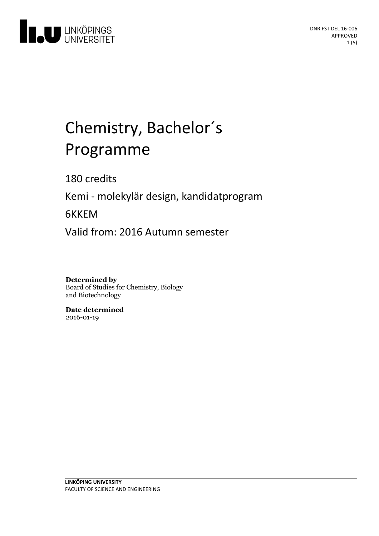

# Chemistry, Bachelor ´ s Programme

180 credits

Kemi - molekylär design, kandidatprogram

6KKEM

Valid from: 2016 Autumn semester

**Determined by** Board of Studies for Chemistry, Biology and Biotechnology

**Date determined** 2016-01-19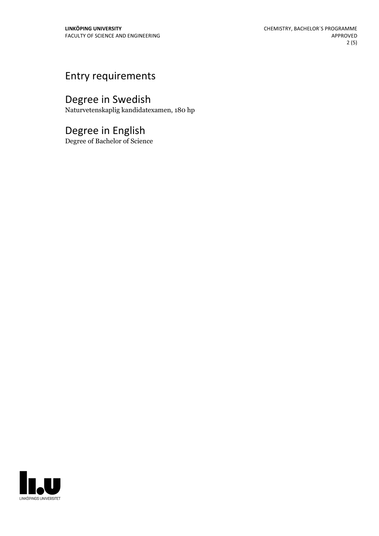### Entry requirements

## Degree in Swedish

Naturvetenskaplig kandidatexamen, 180 hp

### Degree in English

Degree of Bachelor of Science

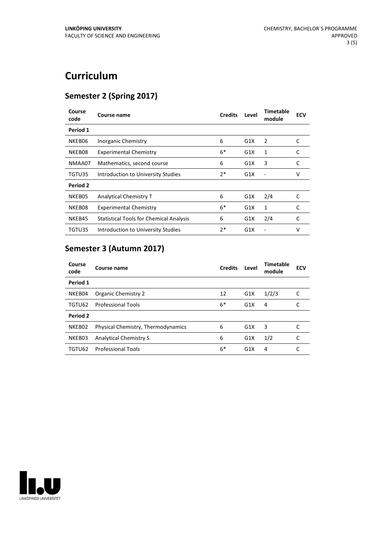## **Curriculum**

#### **Semester 2 (Spring 2017)**

| Course<br>code  | Course name                                    | <b>Credits</b> | Level | Timetable<br>module | <b>ECV</b> |
|-----------------|------------------------------------------------|----------------|-------|---------------------|------------|
| Period 1        |                                                |                |       |                     |            |
| NKEB06          | Inorganic Chemistry                            | 6              | G1X   | 2                   | C          |
| NKEB08          | <b>Experimental Chemistry</b>                  | $6*$           | G1X   | 1                   | C          |
| NMAA07          | Mathematics, second course                     | 6              | G1X   | 3                   | C          |
| TGTU35          | Introduction to University Studies             | $2*$           | G1X   |                     | v          |
| <b>Period 2</b> |                                                |                |       |                     |            |
| NKEB05          | Analytical Chemistry T                         | 6              | G1X   | 2/4                 | C          |
| NKEB08          | <b>Experimental Chemistry</b>                  | $6*$           | G1X   | 1                   | C          |
| NKEB45          | <b>Statistical Tools for Chemical Analysis</b> | 6              | G1X   | 2/4                 | C          |
| TGTU35          | Introduction to University Studies             | $2*$           | G1X   |                     | v          |

### **Semester 3 (Autumn 2017)**

| Course<br>code | Course name                        | <b>Credits</b> | Level | Timetable<br>module | <b>ECV</b> |
|----------------|------------------------------------|----------------|-------|---------------------|------------|
| Period 1       |                                    |                |       |                     |            |
| NKEB04         | Organic Chemistry 2                | 12             | G1X   | 1/2/3               | C          |
| TGTU62         | <b>Professional Tools</b>          | $6*$           | G1X   | 4                   |            |
| Period 2       |                                    |                |       |                     |            |
| NKEB02         | Physical Chemistry, Thermodynamics | 6              | G1X   | 3                   | C          |
| NKEB03         | <b>Analytical Chemistry S</b>      | 6              | G1X   | 1/2                 | C          |
| TGTU62         | <b>Professional Tools</b>          | $6*$           | G1X   | 4                   |            |

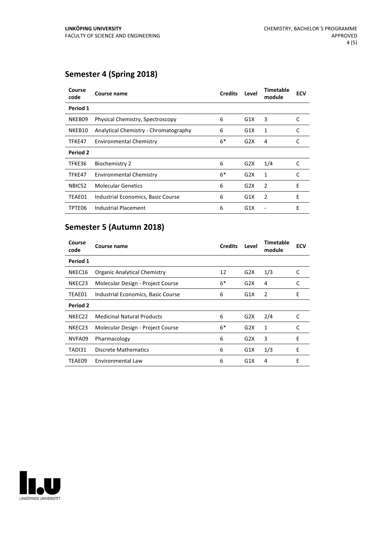#### **Semester 4 (Spring 2018)**

| Course<br>code  | Course name                           | <b>Credits</b> | Level | Timetable<br>module | <b>ECV</b> |
|-----------------|---------------------------------------|----------------|-------|---------------------|------------|
| Period 1        |                                       |                |       |                     |            |
| NKEB09          | Physical Chemistry, Spectroscopy      | 6              | G1X   | 3                   | C          |
| NKEB10          | Analytical Chemistry - Chromatography | 6              | G1X   | $\mathbf{1}$        | C          |
| TFKE47          | <b>Environmental Chemistry</b>        | $6*$           | G2X   | 4                   | C          |
| <b>Period 2</b> |                                       |                |       |                     |            |
| TFKE36          | <b>Biochemistry 2</b>                 | 6              | G2X   | 1/4                 | C          |
| TFKE47          | <b>Environmental Chemistry</b>        | $6*$           | G2X   | 1                   | C          |
| NBIC52          | <b>Molecular Genetics</b>             | 6              | G2X   | 2                   | E          |
| TEAE01          | Industrial Economics, Basic Course    | 6              | G1X   | 2                   | E          |
| TPTE06          | Industrial Placement                  | 6              | G1X   |                     | E          |

#### **Semester 5 (Autumn 2018)**

| Course<br>code  | Course name                         | <b>Credits</b> | Level | Timetable<br>module | <b>ECV</b> |
|-----------------|-------------------------------------|----------------|-------|---------------------|------------|
| Period 1        |                                     |                |       |                     |            |
| NKEC16          | <b>Organic Analytical Chemistry</b> | 12             | G2X   | 1/3                 | C          |
| NKEC23          | Molecular Design - Project Course   | $6*$           | G2X   | 4                   | C          |
| TEAE01          | Industrial Economics, Basic Course  | 6              | G1X   | 2                   | E          |
| <b>Period 2</b> |                                     |                |       |                     |            |
| NKEC22          | <b>Medicinal Natural Products</b>   | 6              | G2X   | 2/4                 | C          |
| NKEC23          | Molecular Design - Project Course   | $6*$           | G2X   | 1                   | C          |
| NVFA09          | Pharmacology                        | 6              | G2X   | 3                   | E          |
| TADI31          | Discrete Mathematics                | 6              | G1X   | 1/3                 | E          |
| TEAE09          | Environmental Law                   | 6              | G1X   | 4                   | E          |